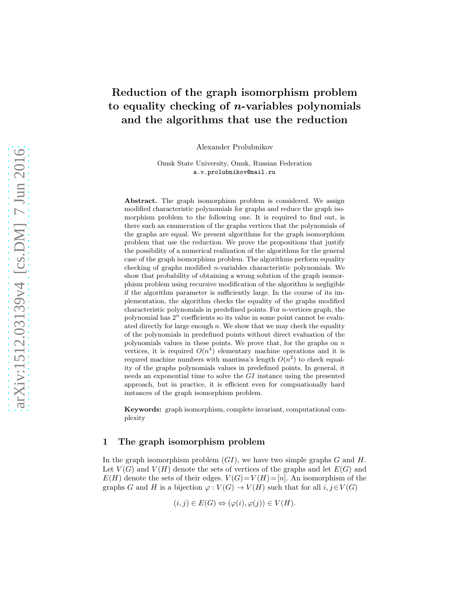# Reduction of the graph isomorphism problem to equality checking of  $n$ -variables polynomials and the algorithms that use the reduction

Alexander Prolubnikov

Omsk State University, Omsk, Russian Federation a.v.prolubnikov@mail.ru

Abstract. The graph isomorphism problem is considered. We assign modified characteristic polynomials for graphs and reduce the graph isomorphism problem to the following one. It is required to find out, is there such an enumeration of the graphs vertices that the polynomials of the graphs are equal. We present algorithms for the graph isomorphism problem that use the reduction. We prove the propositions that justify the possibility of a numerical realization of the algorithms for the general case of the graph isomorphism problem. The algorithms perform equality checking of graphs modified n-variables characteristic polynomials. We show that probability of obtaining a wrong solution of the graph isomorphism problem using recursive modification of the algorithm is negligible if the algorithm parameter is sufficiently large. In the course of its implementation, the algorithm checks the equality of the graphs modified characteristic polynomials in predefined points. For n-vertices graph, the polynomial has  $2^n$  coefficients so its value in some point cannot be evaluated directly for large enough  $n$ . We show that we may check the equality of the polynomials in predefined points without direct evaluation of the polynomials values in these points. We prove that, for the graphs on  $n$ vertices, it is required  $O(n^4)$  elementary machine operations and it is requred machine numbers with mantissa's length  $O(n^2)$  to check equality of the graphs polynomials values in predefined points. In general, it needs an exponential time to solve the GI instance using the presented approach, but in practice, it is efficient even for compuationally hard instances of the graph isomorphism problem.

Keywords: graph isomorphism, complete invariant, computational complexity

#### 1 The graph isomorphism problem

In the graph isomorphism problem  $(GI)$ , we have two simple graphs G and H. Let  $V(G)$  and  $V(H)$  denote the sets of vertices of the graphs and let  $E(G)$  and  $E(H)$  denote the sets of their edges.  $V(G)=V(H)=[n]$ . An isomorphism of the graphs G and H is a bijection  $\varphi: V(G) \to V(H)$  such that for all  $i, j \in V(G)$ 

$$
(i, j) \in E(G) \Leftrightarrow (\varphi(i), \varphi(j)) \in V(H).
$$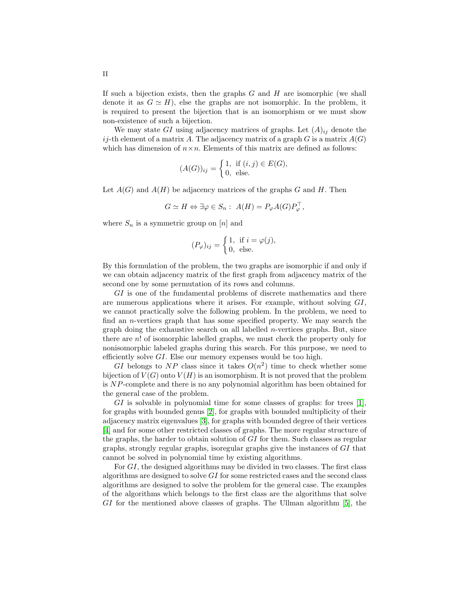If such a bijection exists, then the graphs  $G$  and  $H$  are isomorphic (we shall denote it as  $G \simeq H$ ), else the graphs are not isomorphic. In the problem, it is required to present the bijection that is an isomorphism or we must show non-existence of such a bijection.

We may state GI using adjacency matrices of graphs. Let  $(A)_{ij}$  denote the ij-th element of a matrix A. The adjacency matrix of a graph  $G$  is a matrix  $A(G)$ which has dimension of  $n \times n$ . Elements of this matrix are defined as follows:

$$
(A(G))_{ij} = \begin{cases} 1, & \text{if } (i,j) \in E(G), \\ 0, & \text{else.} \end{cases}
$$

Let  $A(G)$  and  $A(H)$  be adjacency matrices of the graphs G and H. Then

$$
G \simeq H \Leftrightarrow \exists \varphi \in S_n: A(H) = P_{\varphi}A(G)P_{\varphi}^{\top},
$$

where  $S_n$  is a symmetric group on [n] and

$$
(P_{\varphi})_{ij} = \begin{cases} 1, & \text{if } i = \varphi(j), \\ 0, & \text{else.} \end{cases}
$$

By this formulation of the problem, the two graphs are isomorphic if and only if we can obtain adjacency matrix of the first graph from adjacency matrix of the second one by some permutation of its rows and columns.

GI is one of the fundamental problems of discrete mathematics and there are numerous applications where it arises. For example, without solving GI, we cannot practically solve the following problem. In the problem, we need to find an n-vertices graph that has some specified property. We may search the graph doing the exhaustive search on all labelled n-vertices graphs. But, since there are n! of isomorphic labelled graphs, we must check the property only for nonisomorphic labeled graphs during this search. For this purpose, we need to efficiently solve GI. Else our memory expenses would be too high.

GI belongs to NP class since it takes  $O(n^2)$  time to check whether some bijection of  $V(G)$  onto  $V(H)$  is an isomorphism. It is not proved that the problem is NP-complete and there is no any polynomial algorithm has been obtained for the general case of the problem.

 $GI$  is solvable in polynomial time for some classes of graphs: for trees [\[1\]](#page-20-0), for graphs with bounded genus [\[2\]](#page-20-1), for graphs with bounded multiplicity of their adjacency matrix eigenvalues [\[3\]](#page-20-2), for graphs with bounded degree of their vertices [\[4\]](#page-20-3) and for some other restricted classes of graphs. The more regular structure of the graphs, the harder to obtain solution of GI for them. Such classes as regular graphs, strongly regular graphs, isoregular graphs give the instances of GI that cannot be solved in polynomial time by existing algorithms.

For GI, the designed algorithms may be divided in two classes. The first class algorithms are designed to solve GI for some restricted cases and the second class algorithms are designed to solve the problem for the general case. The examples of the algorithms which belongs to the first class are the algorithms that solve  $GI$  for the mentioned above classes of graphs. The Ullman algorithm [\[5\]](#page-20-4), the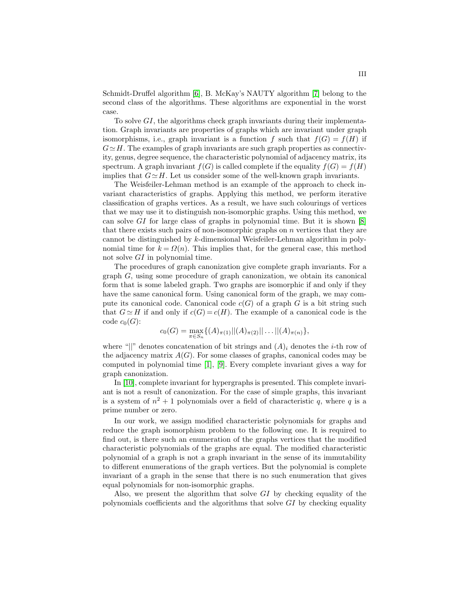Schmidt-Druffel algorithm [\[6\]](#page-20-5), B. McKay's NAUTY algorithm [\[7\]](#page-20-6) belong to the second class of the algorithms. These algorithms are exponential in the worst case.

To solve GI, the algorithms check graph invariants during their implementation. Graph invariants are properties of graphs which are invariant under graph isomorphisms, i.e., graph invariant is a function f such that  $f(G) = f(H)$  if  $G \simeq H$ . The examples of graph invariants are such graph properties as connectivity, genus, degree sequence, the characteristic polynomial of adjacency matrix, its spectrum. A graph invariant  $f(G)$  is called complete if the equality  $f(G) = f(H)$ implies that  $G \simeq H$ . Let us consider some of the well-known graph invariants.

The Weisfeiler-Lehman method is an example of the approach to check invariant characteristics of graphs. Applying this method, we perform iterative classification of graphs vertices. As a result, we have such colourings of vertices that we may use it to distinguish non-isomorphic graphs. Using this method, we can solve  $GI$  for large class of graphs in polynomial time. But it is shown  $[8]$ that there exists such pairs of non-isomorphic graphs on  $n$  vertices that they are cannot be distinguished by k-dimensional Weisfeiler-Lehman algorithm in polynomial time for  $k = \Omega(n)$ . This implies that, for the general case, this method not solve GI in polynomial time.

The procedures of graph canonization give complete graph invariants. For a graph G, using some procedure of graph canonization, we obtain its canonical form that is some labeled graph. Two graphs are isomorphic if and only if they have the same canonical form. Using canonical form of the graph, we may compute its canonical code. Canonical code  $c(G)$  of a graph G is a bit string such that  $G \simeq H$  if and only if  $c(G) = c(H)$ . The example of a canonical code is the code  $c_0(G)$ :

$$
c_0(G) = \max_{\pi \in S_n} \{ (A)_{\pi(1)} || (A)_{\pi(2)} || \dots || (A)_{\pi(n)} \},\
$$

where "||" denotes concatenation of bit strings and  $(A)_i$  denotes the *i*-th row of the adjacency matrix  $A(G)$ . For some classes of graphs, canonical codes may be computed in polynomial time [\[1\]](#page-20-0), [\[9\]](#page-20-8). Every complete invariant gives a way for graph canonization.

In [\[10\]](#page-20-9), complete invariant for hypergraphs is presented. This complete invariant is not a result of canonization. For the case of simple graphs, this invariant is a system of  $n^2 + 1$  polynomials over a field of characteristic q, where q is a prime number or zero.

In our work, we assign modified characteristic polynomials for graphs and reduce the graph isomorphism problem to the following one. It is required to find out, is there such an enumeration of the graphs vertices that the modified characteristic polynomials of the graphs are equal. The modified characteristic polynomial of a graph is not a graph invariant in the sense of its immutability to different enumerations of the graph vertices. But the polynomial is complete invariant of a graph in the sense that there is no such enumeration that gives equal polynomials for non-isomorphic graphs.

Also, we present the algorithm that solve GI by checking equality of the polynomials coefficients and the algorithms that solve  $GI$  by checking equality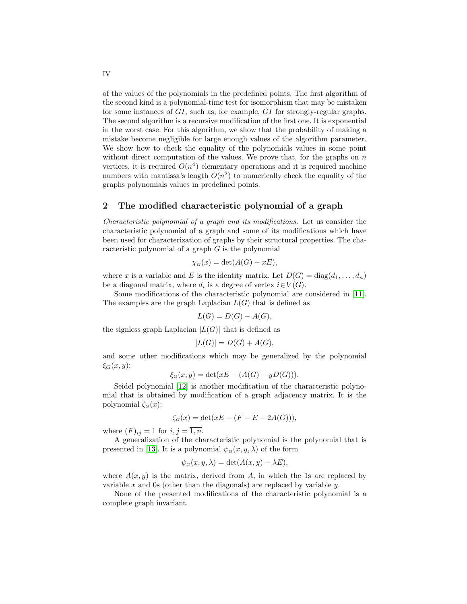of the values of the polynomials in the predefined points. The first algorithm of the second kind is a polynomial-time test for isomorphism that may be mistaken for some instances of GI, such as, for example, GI for strongly-regular graphs. The second algorithm is a recursive modification of the first one. It is exponential in the worst case. For this algorithm, we show that the probability of making a mistake become negligible for large enough values of the algorithm parameter. We show how to check the equality of the polynomials values in some point without direct computation of the values. We prove that, for the graphs on  $n$ vertices, it is required  $O(n^4)$  elementary operations and it is required machine numbers with mantissa's length  $O(n^2)$  to numerically check the equality of the graphs polynomials values in predefined points.

#### 2 The modified characteristic polynomial of a graph

Characteristic polynomial of a graph and its modifications. Let us consider the characteristic polynomial of a graph and some of its modifications which have been used for characterization of graphs by their structural properties. The characteristic polynomial of a graph G is the polynomial

$$
\chi_G(x) = \det(A(G) - xE),
$$

where x is a variable and E is the identity matrix. Let  $D(G) = \text{diag}(d_1, \ldots, d_n)$ be a diagonal matrix, where  $d_i$  is a degree of vertex  $i \in V(G)$ .

Some modifications of the characteristic polynomial are considered in [\[11\]](#page-20-10). The examples are the graph Laplacian  $L(G)$  that is defined as

$$
L(G) = D(G) - A(G),
$$

the signless graph Laplacian  $|L(G)|$  that is defined as

$$
|L(G)| = D(G) + A(G),
$$

and some other modifications which may be generalized by the polynomial  $\xi_G(x,y)$ :

$$
\xi_G(x, y) = \det(xE - (A(G) - yD(G))).
$$

Seidel polynomial [\[12\]](#page-20-11) is another modification of the characteristic polynomial that is obtained by modification of a graph adjacency matrix. It is the polynomial  $\zeta_{G}(x)$ :

$$
\zeta_G(x) = \det(xE - (F - E - 2A(G))),
$$

where  $(F)_{ij} = 1$  for  $i, j = \overline{1, n}$ .

A generalization of the characteristic polynomial is the polynomial that is presented in [\[13\]](#page-20-12). It is a polynomial  $\psi_G(x, y, \lambda)$  of the form

$$
\psi_G(x, y, \lambda) = \det(A(x, y) - \lambda E),
$$

where  $A(x, y)$  is the matrix, derived from A, in which the 1s are replaced by variable x and 0s (other than the diagonals) are replaced by variable  $y$ .

None of the presented modifications of the characteristic polynomial is a complete graph invariant.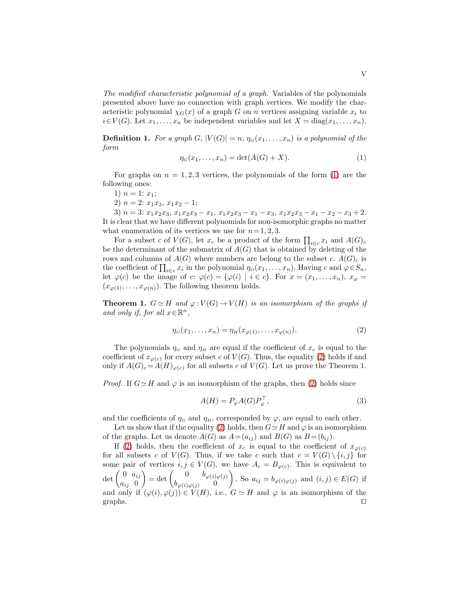The modified characteristic polynomial of a graph. Variables of the polynomials presented above have no connection with graph vertices. We modify the characteristic polynomial  $\chi_G(x)$  of a graph G on n vertices assigning variable  $x_i$  to  $i \in V(G)$ . Let  $x_1, \ldots, x_n$  be independent variables and let  $X = diag(x_1, \ldots, x_n)$ .

**Definition 1.** For a graph G,  $|V(G)| = n$ ,  $\eta_G(x_1, \ldots, x_n)$  is a polynomial of the form

<span id="page-4-0"></span>
$$
\eta_G(x_1, \dots, x_n) = \det(A(G) + X). \tag{1}
$$

For graphs on  $n = 1, 2, 3$  vertices, the polynomials of the form [\(1\)](#page-4-0) are the following ones:

- 1)  $n = 1: x_1;$
- 2)  $n = 2: x_1x_2, x_1x_2 1;$

3)  $n = 3: x_1x_2x_3, x_1x_2x_3 - x_1, x_1x_2x_3 - x_1 - x_3, x_1x_2x_3 - x_1 - x_2 - x_3 + 2.$ It is clear that we have different polynomials for non-isomorphic graphs no matter what enumeration of its vertices we use for  $n = 1, 2, 3$ .

For a subset c of  $V(G)$ , let  $x_c$  be a product of the form  $\prod_{i \in c} x_i$  and  $A(G)_c$ be the determinant of the submatrix of  $A(G)$  that is obtained by deleting of the rows and columns of  $A(G)$  where numbers are belong to the subset c.  $A(G)<sub>c</sub>$  is the coefficient of  $\prod_{i \in c} x_i$  in the polynomial  $\eta_G(x_1, \ldots, x_n)$ . Having c and  $\varphi \in S_n$ , let  $\varphi(c)$  be the image of c:  $\varphi(c) = {\varphi(i) | i \in c}$ . For  $x = (x_1, \ldots, x_n), x_{\varphi} =$  $(x_{\varphi(1)}, \ldots, x_{\varphi(n)})$ . The following theorem holds.

**Theorem 1.**  $G \simeq H$  and  $\varphi : V(G) \to V(H)$  is an isomorphism of the graphs if and only if, for all  $x \in \mathbb{R}^n$ ,

<span id="page-4-1"></span>
$$
\eta_G(x_1, \dots, x_n) = \eta_H(x_{\varphi(1)}, \dots, x_{\varphi(n)}).
$$
\n<sup>(2)</sup>

The polynomials  $\eta_G$  and  $\eta_H$  are equal if the coefficient of  $x_c$  is equal to the coefficient of  $x_{\varphi(c)}$  for every subset c of  $V(G)$ . Thus, the equality [\(2\)](#page-4-1) holds if and only if  $A(G)_c = A(H)_{\varphi(c)}$  for all subsets c of  $V(G)$ . Let us prove the Theorem 1.

*Proof.* If  $G \simeq H$  and  $\varphi$  is an isomorphism of the graphs, then [\(2\)](#page-4-1) holds since

<span id="page-4-2"></span>
$$
A(H) = P_{\varphi} A(G) P_{\varphi}^{\top}, \tag{3}
$$

and the coefficients of  $\eta_G$  and  $\eta_H$ , corresponded by  $\varphi$ , are equal to each other.

Let us show that if the equality [\(2\)](#page-4-1) holds, then  $G \simeq H$  and  $\varphi$  is an isomorphism of the graphs. Let us denote  $A(G)$  as  $A=(a_{ij})$  and  $B(G)$  as  $B=(b_{ij})$ .

If [\(2\)](#page-4-1) holds, then the coefficient of  $x_c$  is equal to the coefficient of  $x_{\varphi(c)}$ for all subsets c of  $V(G)$ . Thus, if we take c such that  $c = V(G) \setminus \{i, j\}$  for some pair of vertices  $i, j \in V(G)$ , we have  $A_c = B_{\varphi(c)}$ . This is equivalent to  $\det \left( \begin{array}{cc} 0 & a_{ij} \\ a & 0 \end{array} \right)$  $a_{ij}$  0  $= \det \begin{pmatrix} 0 & b_{\varphi(i)\varphi(j)} \\ b_{\varphi(i)\varphi(j)} & 0 \end{pmatrix}$  $b_{\varphi(i)\varphi(j)} = 0$ . So  $a_{ij} = b_{\varphi(i)\varphi(j)}$  and  $(i, j) \in E(G)$  if and only if  $(\varphi(i), \varphi(j)) \in V(H)$ , i.e.,  $G \simeq H$  and  $\varphi$  is an isomorphism of the graphs. □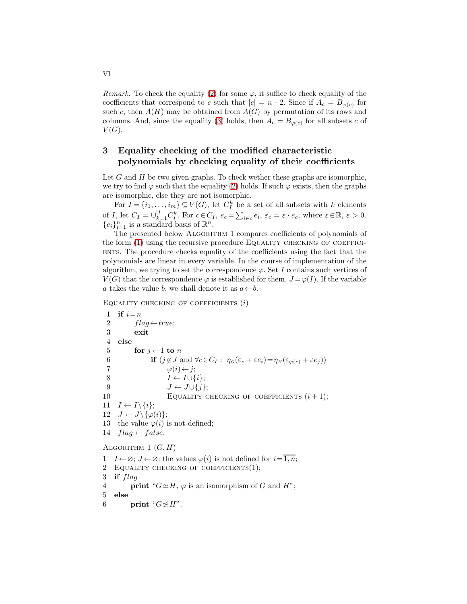Remark. To check the equality [\(2\)](#page-4-1) for some  $\varphi$ , it suffice to check equality of the coefficients that correspond to c such that  $|c| = n-2$ . Since if  $A_c = B_{\varphi(c)}$  for such c, then  $A(H)$  may be obtained from  $A(G)$  by permutation of its rows and columns. And, since the equality [\(3\)](#page-4-2) holds, then  $A_c = B_{\varphi(c)}$  for all subsets c of  $V(G).$ 

## 3 Equality checking of the modified characteristic polynomials by checking equality of their coefficients

Let  $G$  and  $H$  be two given graphs. To check wether these graphs are isomorphic, we try to find  $\varphi$  such that the equality [\(2\)](#page-4-1) holds. If such  $\varphi$  exists, then the graphs are isomorphic, else they are not isomorphic.

For  $I = \{i_1, \ldots, i_m\} \subseteq V(G)$ , let  $C_I^k$  be a set of all subsets with k elements of *I*, let  $C_I = \bigcup_{k=1}^{|I|} C_I^k$ . For  $c \in C_I$ ,  $e_c = \sum_{i \in c} e_i$ ,  $\varepsilon_c = \varepsilon \cdot e_c$ , where  $\varepsilon \in \mathbb{R}$ ,  $\varepsilon > 0$ .  ${e_i}_{i=1}^n$  is a standard basis of  $\mathbb{R}^n$ .

The presented below ALGORITHM 1 compares coefficients of polynomials of the form  $(1)$  using the recursive procedure EQUALITY CHECKING OF COEFFICI-ENTS. The procedure checks equality of the coefficients using the fact that the polynomials are linear in every variable. In the course of implementation of the algorithm, we trying to set the correspondence  $\varphi$ . Set I contains such vertices of  $V(G)$  that the correspondence  $\varphi$  is established for them.  $J = \varphi(I)$ . If the variable a takes the value b, we shall denote it as  $a \leftarrow b$ .

EQUALITY CHECKING OF COEFFICIENTS  $(i)$ 

```
1 if i=n2 flag \leftarrow true;3 exit
 4 else
 5 for i \leftarrow 1 to n
 6 if (j \notin J \text{ and } \forall c \in C_I : \eta_G(\varepsilon_c + \varepsilon e_i) = \eta_H(\varepsilon_{\varphi(c)} + \varepsilon e_j))7 \varphi(i) \leftarrow j;8 I \leftarrow I \cup \{i\};9 J \leftarrow J \cup \{j\};10 EQUALITY CHECKING OF COEFFICIENTS (i + 1);
11 I \leftarrow I \setminus \{i\};12 J \leftarrow J \setminus {\varphi(i)};13 the value \varphi(i) is not defined;
14 flag \leftarrow false.
ALGORITHM 1 (G, H)1 I \leftarrow \emptyset; J \leftarrow \emptyset; the values \varphi(i) is not defined for i = \overline{1, n};
```
- 2 Equality checking of coefficients(1);
- 3 if flag
- 4 **print** " $G \simeq H$ ,  $\varphi$  is an isomorphism of G and H";
- 5 else
- 6 print " $G \not\cong H$ ".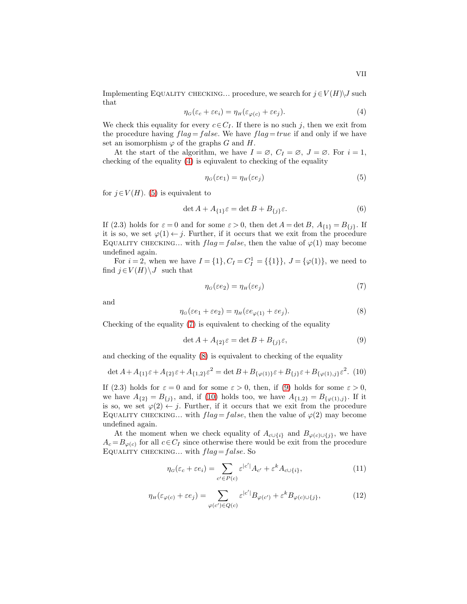Implementing EQUALITY CHECKING... procedure, we search for  $j \in V(H) \backslash J$  such that

<span id="page-6-0"></span>
$$
\eta_G(\varepsilon_c + \varepsilon e_i) = \eta_H(\varepsilon_{\varphi(c)} + \varepsilon e_j). \tag{4}
$$

We check this equality for every  $c \in C_I$ . If there is no such j, then we exit from the procedure having  $flag = false$ . We have  $flag = true$  if and only if we have set an isomorphism  $\varphi$  of the graphs G and H.

At the start of the algorithm, we have  $I = \emptyset$ ,  $C_I = \emptyset$ ,  $J = \emptyset$ . For  $i = 1$ , checking of the equality [\(4\)](#page-6-0) is eqiuvalent to checking of the equality

<span id="page-6-1"></span>
$$
\eta_G(\varepsilon e_1) = \eta_H(\varepsilon e_j) \tag{5}
$$

for  $j \in V(H)$ . [\(5\)](#page-6-1) is equivalent to

$$
\det A + A_{\{1\}}\varepsilon = \det B + B_{\{j\}}\varepsilon. \tag{6}
$$

If (2.3) holds for  $\varepsilon = 0$  and for some  $\varepsilon > 0$ , then det  $A = \det B$ ,  $A_{\{1\}} = B_{\{j\}}$ . If it is so, we set  $\varphi(1) \leftarrow j$ . Further, if it occurs that we exit from the procedure EQUALITY CHECKING... with  $flag = false$ , then the value of  $\varphi(1)$  may become undefined again.

For  $i = 2$ , when we have  $I = \{1\}$ ,  $C_I = C_I^1 = \{\{1\}\}$ ,  $J = \{\varphi(1)\}$ , we need to find  $j \in V(H) \backslash J$  such that

<span id="page-6-2"></span>
$$
\eta_G(\varepsilon e_2) = \eta_H(\varepsilon e_j) \tag{7}
$$

and

<span id="page-6-3"></span>
$$
\eta_G(\varepsilon e_1 + \varepsilon e_2) = \eta_H(\varepsilon e_{\varphi(1)} + \varepsilon e_j). \tag{8}
$$

Checking of the equality [\(7\)](#page-6-2) is equivalent to checking of the equality

<span id="page-6-4"></span>
$$
\det A + A_{\{2\}}\varepsilon = \det B + B_{\{j\}}\varepsilon,\tag{9}
$$

and checking of the equality [\(8\)](#page-6-3) is equivalent to checking of the equality

<span id="page-6-5"></span>
$$
\det A + A_{\{1\}}\varepsilon + A_{\{2\}}\varepsilon + A_{\{1,2\}}\varepsilon^2 = \det B + B_{\{\varphi(1)\}}\varepsilon + B_{\{j\}}\varepsilon + B_{\{\varphi(1),j\}}\varepsilon^2. (10)
$$

If (2.3) holds for  $\varepsilon = 0$  and for some  $\varepsilon > 0$ , then, if [\(9\)](#page-6-4) holds for some  $\varepsilon > 0$ , we have  $A_{\{2\}} = B_{\{j\}},$  and, if [\(10\)](#page-6-5) holds too, we have  $A_{\{1,2\}} = B_{\{\varphi(1),j\}}$ . If it is so, we set  $\varphi(2) \leftarrow j$ . Further, if it occurs that we exit from the procedure EQUALITY CHECKING... with  $flag = false$ , then the value of  $\varphi(2)$  may become undefined again.

At the moment when we check equality of  $A_{c\cup\{i\}}$  and  $B_{\varphi(c)\cup\{j\}}$ , we have  $A_c = B_{\varphi(c)}$  for all  $c \in C_I$  since otherwise there would be exit from the procedure EQUALITY CHECKING... with  $flag = false$ . So

<span id="page-6-6"></span>
$$
\eta_G(\varepsilon_c + \varepsilon e_i) = \sum_{c' \in P(c)} \varepsilon^{|c'|} A_{c'} + \varepsilon^k A_{c \cup \{i\}},\tag{11}
$$

<span id="page-6-7"></span>
$$
\eta_H(\varepsilon_{\varphi(c)} + \varepsilon e_j) = \sum_{\varphi(c') \in Q(c)} \varepsilon^{|c'|} B_{\varphi(c')} + \varepsilon^k B_{\varphi(c) \cup \{j\}},\tag{12}
$$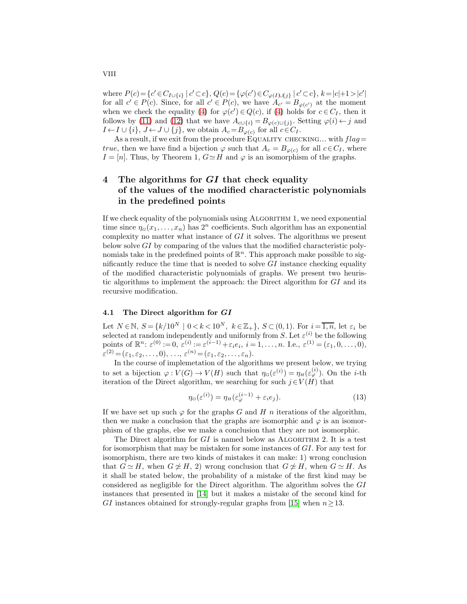where  $P(c) = \{c' \in C_{I \cup \{i\}} \mid c' \subset c\}, Q(c) = \{\varphi(c') \in C_{\varphi(I) \cup \{j\}} \mid c' \subset c\}, k = |c|+1 > |c'|$ for all  $c' \in P(c)$ . Since, for all  $c' \in P(c)$ , we have  $A_{c'} = B_{\varphi(c')}$  at the moment when we check the equality [\(4\)](#page-6-0) for  $\varphi(c') \in Q(c)$ , if (4) holds for  $c \in C_I$ , then it follows by [\(11\)](#page-6-6) and [\(12\)](#page-6-7) that we have  $A_{c\cup\{i\}} = B_{\varphi(c)\cup\{j\}}$ . Setting  $\varphi(i) \leftarrow j$  and  $I \leftarrow I \cup \{i\}, J \leftarrow J \cup \{j\},\$  we obtain  $A_c = B_{\varphi(c)}$  for all  $c \in C_I$ .

As a result, if we exit from the procedure EQUALITY CHECKING... with  $flag =$ *true*, then we have find a bijection  $\varphi$  such that  $A_c = B_{\varphi(c)}$  for all  $c \in C_I$ , where  $I = [n]$ . Thus, by Theorem 1,  $G \simeq H$  and  $\varphi$  is an isomorphism of the graphs.

# 4 The algorithms for  $GI$  that check equality of the values of the modified characteristic polynomials in the predefined points

If we check equality of the polynomials using ALGORITHM 1, we need exponential time since  $\eta_G(x_1,\ldots,x_n)$  has  $2^n$  coefficients. Such algorithm has an exponential complexity no matter what instance of  $GI$  it solves. The algorithms we present below solve GI by comparing of the values that the modified characteristic polynomials take in the predefined points of  $\mathbb{R}^n$ . This approach make possible to significantly reduce the time that is needed to solve  $GI$  instance checking equality of the modified characteristic polynomials of graphs. We present two heuristic algorithms to implement the approach: the Direct algorithm for  $GI$  and its recursive modification.

#### 4.1 The Direct algorithm for GI

Let  $N \in \mathbb{N}$ ,  $S = \{k/10^N \mid 0 < k < 10^N, k \in \mathbb{Z}_+\}$ ,  $S \subset (0, 1)$ . For  $i = \overline{1, n}$ , let  $\varepsilon_i$  be selected at random independently and uniformly from S. Let  $\varepsilon^{(i)}$  be the following points of  $\mathbb{R}^n$ :  $\varepsilon^{(0)} := 0$ ,  $\varepsilon^{(i)} := \varepsilon^{(i-1)} + \varepsilon_i e_i$ ,  $i = 1, ..., n$ . I.e.,  $\varepsilon^{(1)} = (\varepsilon_1, 0, ..., 0)$ ,  $\varepsilon^{(2)} = (\varepsilon_1, \varepsilon_2, \ldots, 0), \ldots, \varepsilon^{(n)} = (\varepsilon_1, \varepsilon_2, \ldots, \varepsilon_n).$ 

In the course of implemetation of the algorithms we present below, we trying to set a bijection  $\varphi: V(G) \to V(H)$  such that  $\eta_G(\varepsilon^{(i)}) = \eta_H(\varepsilon^{(i)}_\varphi)$ . On the *i*-th iteration of the Direct algorithm, we searching for such  $j \in V(H)$  that

<span id="page-7-0"></span>
$$
\eta_G(\varepsilon^{(i)}) = \eta_H(\varepsilon^{(i-1)}_{\varphi} + \varepsilon_i e_j). \tag{13}
$$

If we have set up such  $\varphi$  for the graphs G and H n iterations of the algorithm, then we make a conclusion that the graphs are isomorphic and  $\varphi$  is an isomorphism of the graphs, else we make a conclusion that they are not isomorphic.

The Direct algorithm for  $GI$  is named below as ALGORITHM 2. It is a test for isomorphism that may be mistaken for some instances of GI. For any test for isomorphism, there are two kinds of mistakes it can make: 1) wrong conclusion that  $G \simeq H$ , when  $G \not\cong H$ , 2) wrong conclusion that  $G \not\cong H$ , when  $G \simeq H$ . As it shall be stated below, the probability of a mistake of the first kind may be considered as negligible for the Direct algorithm. The algorithm solves the GI instances that presented in [\[14\]](#page-21-0) but it makes a mistake of the second kind for GI instances obtained for strongly-regular graphs from [\[15\]](#page-21-1) when  $n \geq 13$ .

VIII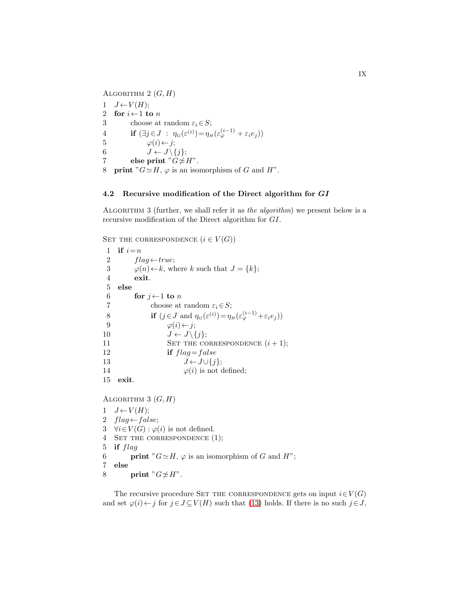ALGORITHM  $2(G, H)$ 1  $J \leftarrow V(H)$ ; 2 for  $i \leftarrow 1$  to n 3 choose at random  $\varepsilon_i \in S$ ; 4 if  $(\exists j \in J : \eta_G(\varepsilon^{(i)}) = \eta_H(\varepsilon^{(i-1)}_{\varphi} + \varepsilon_i e_j))$ 5  $\varphi(i) \leftarrow j;$ 6  $J \leftarrow J \setminus \{j\};$ 7 else print " $G \not\simeq H$ ". 8 **print** " $G \simeq H$ ,  $\varphi$  is an isomorphism of G and H".

#### 4.2 Recursive modification of the Direct algorithm for GI

Algorithm 3 (further, we shall refer it as the algorithm) we present below is a recursive modification of the Direct algorithm for GI.

SET THE CORRESPONDENCE  $(i \in V(G))$ 

1 if  $i=n$ 2  $flag \leftarrow true;$ 3  $\varphi(n) \leftarrow k$ , where k such that  $J = \{k\};$ 4 exit. 5 else 6 for  $j \leftarrow 1$  to n 7 choose at random  $\varepsilon_i \in S$ ; 8 if  $(j \in J \text{ and } \eta_G(\varepsilon^{(i)}) = \eta_H(\varepsilon^{(i-1)}_{\varphi} + \varepsilon_i e_j)$ 9  $\varphi(i) \leftarrow j;$ 10  $J \leftarrow J \setminus \{j\};$ 11 SET THE CORRESPONDENCE  $(i + 1);$ 12 if  $flag = false$ 13  $J \leftarrow J \cup \{j\};$ 14  $\varphi(i)$  is not defined; 15 exit. ALGORITHM 3  $(G, H)$ 1  $J \leftarrow V(H)$ ; 2  $flag \leftarrow false;$ 3  $\forall i \in V(G) : \varphi(i)$  is not defined.

4 Set the correspondence (1);

- 5 if flag
- 6 **print** " $G \simeq H$ ,  $\varphi$  is an isomorphism of G and H";
- 7 else

```
8 print "G \not\cong H".
```
The recursive procedure SET THE CORRESPONDENCE gets on input  $i \in V(G)$ and set  $\varphi(i) \leftarrow j$  for  $j \in J \subseteq V(H)$  such that [\(13\)](#page-7-0) holds. If there is no such  $j \in J$ ,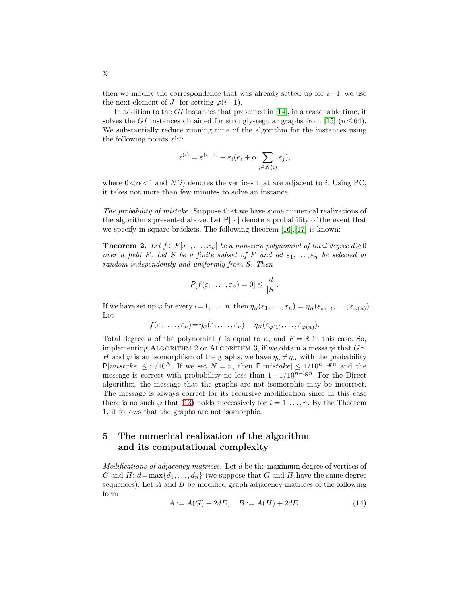then we modify the correspondence that was already setted up for  $i-1$ : we use the next element of J for setting  $\varphi(i-1)$ .

In addition to the  $GI$  instances that presented in [\[14\]](#page-21-0), in a reasonable time, it solves the GI instances obtained for strongly-regular graphs from [\[15\]](#page-21-1)  $(n \leq 64)$ . We substantially reduce running time of the algorithm for the instances using the following points  $\varepsilon^{(i)}$ :

$$
\varepsilon^{(i)} = \varepsilon^{(i-1)} + \varepsilon_i (e_i + \alpha \sum_{j \in N(i)} e_j),
$$

where  $0 < \alpha < 1$  and  $N(i)$  denotes the vertices that are adjacent to i. Using PC, it takes not more than few minutes to solve an instance.

The probability of mistake. Suppose that we have some numerical realizations of the algorithms presented above. Let  $P[\cdot]$  denote a probability of the event that we specify in square brackets. The following theorem  $[16]$ ,  $[17]$  is known:

**Theorem 2.** Let  $f \in F[x_1, \ldots, x_n]$  be a non-zero polynomial of total degree  $d \geq 0$ over a field F. Let S be a finite subset of F and let  $\varepsilon_1, \ldots, \varepsilon_n$  be selected at random independently and uniformly from S. Then

$$
P[f(\varepsilon_1,\ldots,\varepsilon_n)=0]\leq \frac{d}{|S|}.
$$

If we have set up  $\varphi$  for every  $i=1,\ldots,n$ , then  $\eta_G(\varepsilon_1,\ldots,\varepsilon_n)=\eta_H(\varepsilon_{\varphi(1)},\ldots,\varepsilon_{\varphi(n)}).$ Let

$$
f(\varepsilon_1,\ldots,\varepsilon_n)=\eta_G(\varepsilon_1,\ldots,\varepsilon_n)-\eta_H(\varepsilon_{\varphi(1)},\ldots,\varepsilon_{\varphi(n)}).
$$

Total degree d of the polynomial f is equal to n, and  $F = \mathbb{R}$  in this case. So, implementing ALGORITHM 2 or ALGORITHM 3, if we obtain a message that  $G\simeq$ H and  $\varphi$  is an isomorphism of the graphs, we have  $\eta_{G} \neq \eta_{H}$  with the probability  $P[mistake] \le n/10^N$ . If we set  $N = n$ , then  $P[mistake] \le 1/10^{n-\lg n}$  and the message is correct with probability no less than  $1-1/10^{n-\lg n}$ . For the Direct algorithm, the message that the graphs are not isomorphic may be incorrect. The message is always correct for its recursive modification since in this case there is no such  $\varphi$  that [\(13\)](#page-7-0) holds successively for  $i = 1, \ldots, n$ . By the Theorem 1, it follows that the graphs are not isomorphic.

# 5 The numerical realization of the algorithm and its computational complexity

Modifications of adjacency matrices. Let d be the maximum degree of vertices of G and H:  $d = \max\{d_1, \ldots, d_n\}$  (we suppose that G and H have the same degree sequences). Let  $A$  and  $B$  be modified graph adjacency matrices of the following form

<span id="page-9-0"></span>
$$
A := A(G) + 2dE, \quad B := A(H) + 2dE. \tag{14}
$$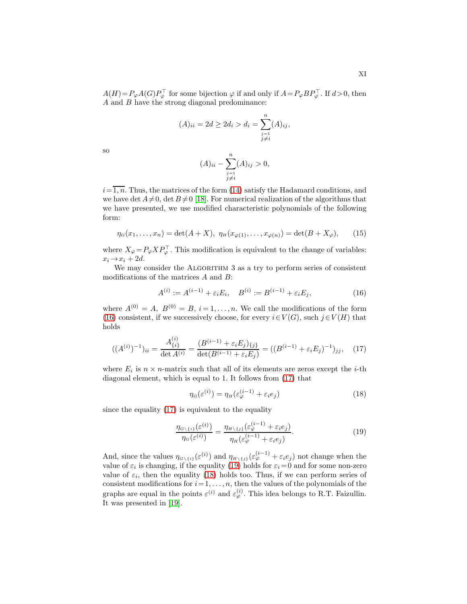$A(H) = P_{\varphi}A(G)P_{\varphi}^{\top}$  for some bijection  $\varphi$  if and only if  $A = P_{\varphi}BP_{\varphi}^{\top}$ . If  $d > 0$ , then A and B have the strong diagonal predominance:

$$
(A)_{ii} = 2d \ge 2d_i > d_i = \sum_{\substack{j=1 \ j \neq i}}^{n} (A)_{ij},
$$

so

$$
(A)_{ii} - \sum_{\substack{j=1 \\ j \neq i}}^{n} (A)_{ij} > 0,
$$

 $i=\overline{1,n}$ . Thus, the matrices of the form [\(14\)](#page-9-0) satisfy the Hadamard conditions, and we have det  $A\neq 0$ , det  $B\neq 0$  [\[18\]](#page-21-4). For numerical realization of the algorithms that we have presented, we use modified characteristic polynomials of the following form:

$$
\eta_G(x_1,\ldots,x_n) = \det(A+X), \ \eta_H(x_{\varphi(1)},\ldots,x_{\varphi(n)}) = \det(B+X_{\varphi}), \qquad (15)
$$

where  $X_{\varphi} = P_{\varphi} X P_{\varphi}^{\top}$ . This modification is equivalent to the change of variables:  $x_i \rightarrow x_i + 2d$ .

We may consider the ALGORITHM 3 as a try to perform series of consistent modifications of the matrices  $A$  and  $B$ :

<span id="page-10-0"></span>
$$
A^{(i)} := A^{(i-1)} + \varepsilon_i E_i, \quad B^{(i)} := B^{(i-1)} + \varepsilon_i E_j,\tag{16}
$$

where  $A^{(0)} = A$ ,  $B^{(0)} = B$ ,  $i = 1, ..., n$ . We call the modifications of the form [\(16\)](#page-10-0) consistent, if we successively choose, for every  $i \in V(G)$ , such  $j \in V(H)$  that holds

<span id="page-10-1"></span>
$$
((A^{(i)})^{-1})_{ii} = \frac{A_{\{i\}}^{(i)}}{\det A^{(i)}} = \frac{(B^{(i-1)} + \varepsilon_i E_j)_{\{j\}}}{\det(B^{(i-1)} + \varepsilon_i E_j)} = ((B^{(i-1)} + \varepsilon_i E_j)^{-1})_{jj}, \quad (17)
$$

where  $E_i$  is  $n \times n$ -matrix such that all of its elements are zeros except the *i*-th diagonal element, which is equal to 1. It follows from [\(17\)](#page-10-1) that

<span id="page-10-3"></span>
$$
\eta_G(\varepsilon^{(i)}) = \eta_H(\varepsilon^{(i-1)}_{\varphi} + \varepsilon_i e_j)
$$
\n(18)

since the equality [\(17\)](#page-10-1) is equivalent to the equality

<span id="page-10-2"></span>
$$
\frac{\eta_{G\setminus\{i\}}(\varepsilon^{(i)})}{\eta_G(\varepsilon^{(i)})} = \frac{\eta_{H\setminus\{j\}}(\varepsilon^{(i-1)}_{\varphi} + \varepsilon_i e_j)}{\eta_H(\varepsilon^{(i-1)}_{\varphi} + \varepsilon_i e_j)}.\tag{19}
$$

And, since the values  $\eta_{G\setminus\{i\}}(\varepsilon^{(i)})$  and  $\eta_{H\setminus\{j\}}(\varepsilon^{(i-1)}_{\varphi} + \varepsilon_i e_j)$  not change when the value of  $\varepsilon_i$  is changing, if the equality [\(19\)](#page-10-2) holds for  $\varepsilon_i = 0$  and for some non-zero value of  $\varepsilon_i$ , then the equality [\(18\)](#page-10-3) holds too. Thus, if we can perform series of consistent modifications for  $i = 1, \ldots, n$ , then the values of the polynomials of the graphs are equal in the points  $\varepsilon^{(i)}$  and  $\varepsilon^{(i)}_{\varphi}$ . This idea belongs to R.T. Faizullin. It was presented in [\[19\]](#page-21-5).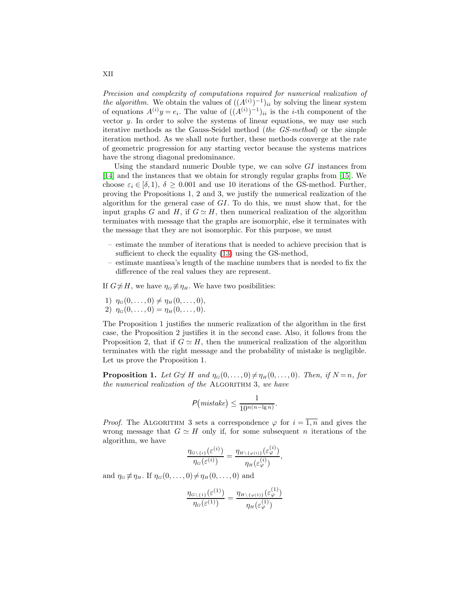Precision and complexity of computations required for numerical realization of the algorithm. We obtain the values of  $((A^{(i)})^{-1})_{ii}$  by solving the linear system of equations  $A^{(i)}y = e_i$ . The value of  $((A^{(i)})^{-1})_{ii}$  is the *i*-th component of the vector  $y$ . In order to solve the systems of linear equations, we may use such iterative methods as the Gauss-Seidel method (the GS-method) or the simple iteration method. As we shall note further, these methods converge at the rate of geometric progression for any starting vector because the systems matrices have the strong diagonal predominance.

Using the standard numeric Double type, we can solve  $GI$  instances from [\[14\]](#page-21-0) and the instances that we obtain for strongly regular graphs from [\[15\]](#page-21-1). We choose  $\varepsilon_i \in [\delta, 1], \delta \geq 0.001$  and use 10 iterations of the GS-method. Further, proving the Propositions 1, 2 and 3, we justify the numerical realization of the algorithm for the general case of  $GI$ . To do this, we must show that, for the input graphs G and H, if  $G \simeq H$ , then numerical realization of the algorithm terminates with message that the graphs are isomorphic, else it terminates with the message that they are not isomorphic. For this purpose, we must

- estimate the number of iterations that is needed to achieve precision that is sufficient to check the equality [\(13\)](#page-7-0) using the GS-method,
- estimate mantissa's length of the machine numbers that is needed to fix the difference of the real values they are represent.

If  $G \not\cong H$ , we have  $\eta_G \not\equiv \eta_H$ . We have two posibilities:

- 1)  $\eta_G(0,\ldots,0) \neq \eta_H(0,\ldots,0),$
- 2)  $\eta_G(0,\ldots,0) = \eta_H(0,\ldots,0).$

The Proposition 1 justifies the numeric realization of the algorithm in the first case, the Proposition 2 justifies it in the second case. Also, it follows from the Proposition 2, that if  $G \simeq H$ , then the numerical realization of the algorithm terminates with the right message and the probability of mistake is negligible. Let us prove the Proposition 1.

**Proposition 1.** Let  $G \not\cong H$  and  $\eta_G(0, \ldots, 0) \neq \eta_H(0, \ldots, 0)$ . Then, if  $N = n$ , for the numerical realization of the ALGORITHM 3, we have

$$
P\big(\mathit{mistake}\big) \leq \frac{1}{10^{n(n-\lg n)}}.
$$

*Proof.* The ALGORITHM 3 sets a correspondence  $\varphi$  for  $i = \overline{1, n}$  and gives the wrong message that  $G \simeq H$  only if, for some subsequent n iterations of the algorithm, we have

$$
\frac{\eta_{G\setminus\{i\}}(\varepsilon^{(i)})}{\eta_G(\varepsilon^{(i)})} = \frac{\eta_{H\setminus\{\varphi(i)\}}(\varepsilon^{(i)}_{\varphi})}{\eta_H(\varepsilon^{(i)}_{\varphi})},
$$

and  $\eta_G \not\equiv \eta_H$ . If  $\eta_G(0, \ldots, 0) \neq \eta_H(0, \ldots, 0)$  and

$$
\frac{\eta_{G\setminus\{1\}}(\varepsilon^{(1)})}{\eta_G(\varepsilon^{(1)})} = \frac{\eta_{H\setminus\{\varphi(1)\}}(\varepsilon^{(1)}_{\varphi})}{\eta_H(\varepsilon^{(1)}_{\varphi})}
$$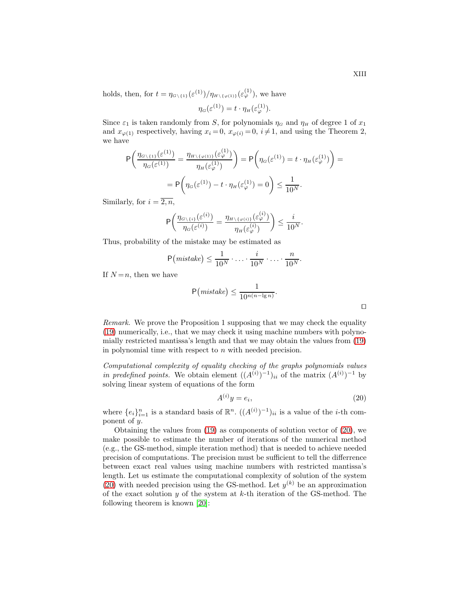holds, then, for  $t = \eta_{G \setminus \{1\}}(\varepsilon^{(1)})/\eta_{H \setminus {\{\varphi(1)\}}}(\varepsilon^{(1)}_{\varphi})$ , we have

$$
\eta_G(\varepsilon^{(1)}) = t \cdot \eta_H(\varepsilon^{(1)}_\varphi).
$$

Since  $\varepsilon_1$  is taken randomly from S, for polynomials  $\eta_G$  and  $\eta_H$  of degree 1 of  $x_1$ and  $x_{\varphi(1)}$  respectively, having  $x_i = 0$ ,  $x_{\varphi(i)} = 0$ ,  $i \neq 1$ , and using the Theorem 2, we have

$$
\mathsf{P}\left(\frac{\eta_{G\setminus\{1\}}(\varepsilon^{(1)})}{\eta_G(\varepsilon^{(1)})} = \frac{\eta_{H\setminus\{\varphi(1)\}}(\varepsilon^{(1)}_{\varphi})}{\eta_H(\varepsilon^{(1)}_{\varphi})}\right) = \mathsf{P}\left(\eta_G(\varepsilon^{(1)}) = t \cdot \eta_H(\varepsilon^{(1)}_{\varphi})\right) =
$$

$$
= \mathsf{P}\left(\eta_G(\varepsilon^{(1)}) - t \cdot \eta_H(\varepsilon^{(1)}_{\varphi}) = 0\right) \le \frac{1}{10^N}.
$$

Similarly, for  $i = \overline{2, n}$ ,

$$
\mathsf{P}\bigg(\frac{\eta_{G\setminus\{i\}}(\varepsilon^{(i)})}{\eta_G(\varepsilon^{(i)})}=\frac{\eta_{H\setminus\{\varphi(i)\}}(\varepsilon^{(i)}_{\varphi})}{\eta_H(\varepsilon^{(i)}_{\varphi})}\bigg)\leq \frac{i}{10^N}.
$$

Thus, probability of the mistake may be estimated as

$$
\mathsf{P}\big(\textit{mistake}\big) \leq \frac{1}{10^N} \cdot \ldots \cdot \frac{i}{10^N} \cdot \ldots \cdot \frac{n}{10^N}.
$$

If  $N = n$ , then we have

$$
\mathsf{P}\big(\textit{mistake}\big) \le \frac{1}{10^{n(n-\lg n)}}.
$$

Remark. We prove the Proposition 1 supposing that we may check the equality [\(19\)](#page-10-2) numerically, i.e., that we may check it using machine numbers with polynomially restricted mantissa's length and that we may obtain the values from [\(19\)](#page-10-2) in polynomial time with respect to  $n$  with needed precision.

Computational complexity of equality checking of the graphs polynomials values in predefined points. We obtain element  $((A^{(i)})^{-1})_{ii}$  of the matrix  $(A^{(i)})^{-1}$  by solving linear system of equations of the form

<span id="page-12-0"></span>
$$
A^{(i)}y = e_i,\tag{20}
$$

where  $\{e_i\}_{i=1}^n$  is a standard basis of  $\mathbb{R}^n$ .  $((A^{(i)})^{-1})_{ii}$  is a value of the *i*-th component of y.

Obtaining the values from  $(19)$  as components of solution vector of  $(20)$ , we make possible to estimate the number of iterations of the numerical method (e.g., the GS-method, simple iteration method) that is needed to achieve needed precision of computations. The precision must be sufficient to tell the differrence between exact real values using machine numbers with restricted mantissa's length. Let us estimate the computational complexity of solution of the system [\(20\)](#page-12-0) with needed precision using the GS-method. Let  $y^{(k)}$  be an approximation of the exact solution  $y$  of the system at  $k$ -th iteration of the GS-method. The following theorem is known [\[20\]](#page-21-6):

⊓⊔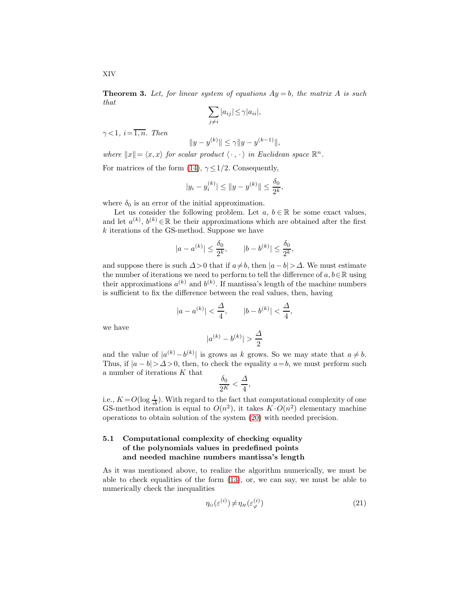**Theorem 3.** Let, for linear system of equations  $Ay = b$ , the matrix A is such that

$$
\sum_{j\neq i} |a_{ij}| \leq \gamma |a_{ii}|,
$$

 $\gamma < 1$ ,  $i = \overline{1, n}$ . Then

$$
||y - y^{(k)}|| \le \gamma ||y - y^{(k-1)}||,
$$

where  $||x|| = \langle x, x \rangle$  for scalar product  $\langle \cdot, \cdot \rangle$  in Euclidean space  $\mathbb{R}^n$ .

For matrices of the form [\(14\)](#page-9-0),  $\gamma \leq 1/2$ . Consequently,

$$
|y_i - y_i^{(k)}| \le ||y - y^{(k)}|| \le \frac{\delta_0}{2^k},
$$

where  $\delta_0$  is an error of the initial approximation.

Let us consider the following problem. Let  $a, b \in \mathbb{R}$  be some exact values, and let  $a^{(k)}$ ,  $b^{(k)} \in \mathbb{R}$  be their approximations which are obtained after the first k iterations of the GS-method. Suppose we have

$$
|a - a^{(k)}| \le \frac{\delta_0}{2^k}, \qquad |b - b^{(k)}| \le \frac{\delta_0}{2^k},
$$

and suppose there is such  $\Delta > 0$  that if  $a \neq b$ , then  $|a - b| > \Delta$ . We must estimate the number of iterations we need to perform to tell the difference of  $a, b \in \mathbb{R}$  using their approximations  $a^{(k)}$  and  $b^{(k)}$ . If mantissa's length of the machine numbers is sufficient to fix the difference between the real values, then, having

$$
|a - a^{(k)}| < \frac{\Delta}{4}
$$
,  $|b - b^{(k)}| < \frac{\Delta}{4}$ ,

we have

$$
|a^{(k)} - b^{(k)}| > \frac{\Delta}{2}
$$

and the value of  $|a^{(k)} - b^{(k)}|$  is grows as k grows. So we may state that  $a \neq b$ . Thus, if  $|a - b| > \Delta > 0$ , then, to check the equality  $a = b$ , we must perform such a number of iterations K that

$$
\frac{\delta_0}{2^K} < \frac{\Delta}{4},
$$

i.e.,  $K = O(\log \frac{1}{\Delta})$ . With regard to the fact that computational complexity of one GS-method iteration is equal to  $O(n^2)$ , it takes  $K \cdot O(n^2)$  elementary machine operations to obtain solution of the system [\(20\)](#page-12-0) with needed precision.

#### 5.1 Computational complexity of checking equality of the polynomials values in predefined points and needed machine numbers mantissa's length

As it was mentioned above, to realize the algorithm numerically, we must be able to check equalities of the form [\(13\)](#page-7-0), or, we can say, we must be able to numerically check the inequalities

<span id="page-13-0"></span>
$$
\eta_G(\varepsilon^{(i)}) \neq \eta_H(\varepsilon^{(i)}_\varphi) \tag{21}
$$

XIV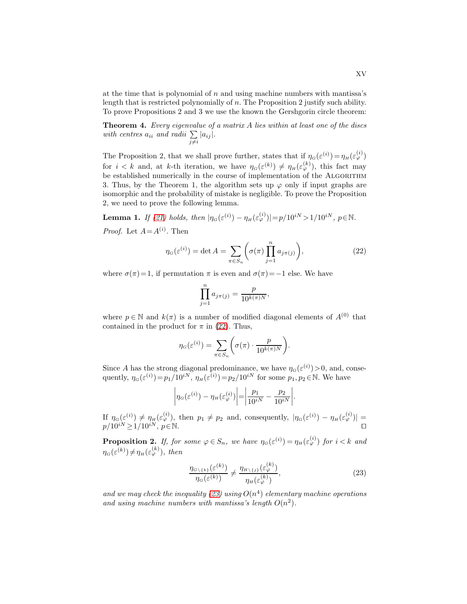at the time that is polynomial of n and using machine numbers with mantissa's length that is restricted polynomially of n. The Proposition 2 justify such ability. To prove Propositions 2 and 3 we use the known the Gershgorin circle theorem:

Theorem 4. Every eigenvalue of a matrix A lies within at least one of the discs with centres  $a_{ii}$  and radii  $\sum_{j\neq i} |a_{ij}|$ .

The Proposition 2, that we shall prove further, states that if  $\eta_G(\varepsilon^{(i)}) = \eta_H(\varepsilon^{(i)}_\varphi)$ for  $i < k$  and, at k-th iteration, we have  $\eta_G(\varepsilon^{(k)}) \neq \eta_H(\varepsilon^{(k)}_{\varphi})$ , this fact may be established numerically in the course of implementation of the ALGORITHM 3. Thus, by the Theorem 1, the algorithm sets up  $\varphi$  only if input graphs are isomorphic and the probability of mistake is negligible. To prove the Proposition 2, we need to prove the following lemma.

**Lemma 1.** If [\(21\)](#page-13-0) holds, then  $|\eta_G(\varepsilon^{(i)}) - \eta_H(\varepsilon^{(i)}_\varphi)| = p/10^{iN} > 1/10^{iN}, p \in \mathbb{N}$ . *Proof.* Let  $A = A^{(i)}$ . Then

<span id="page-14-0"></span>
$$
\eta_G(\varepsilon^{(i)}) = \det A = \sum_{\pi \in S_n} \left( \sigma(\pi) \prod_{j=1}^n a_{j\pi(j)} \right),\tag{22}
$$

where  $\sigma(\pi)=1$ , if permutation  $\pi$  is even and  $\sigma(\pi)=-1$  else. We have

$$
\prod_{j=1}^n a_{j\pi(j)} = \frac{p}{10^{k(\pi)N}},
$$

where  $p \in \mathbb{N}$  and  $k(\pi)$  is a number of modified diagonal elements of  $A^{(0)}$  that contained in the product for  $\pi$  in [\(22\)](#page-14-0). Thus,

$$
\eta_G(\varepsilon^{(i)}) = \sum_{\pi \in S_n} \left( \sigma(\pi) \cdot \frac{p}{10^{k(\pi)N}} \right).
$$

Since A has the strong diagonal predominance, we have  $\eta_G(\varepsilon^{(i)}) > 0$ , and, consequently,  $\eta_G(\varepsilon^{(i)}) = p_1/10^{iN}$ ,  $\eta_H(\varepsilon^{(i)}) = p_2/10^{iN}$  for some  $p_1, p_2 \in \mathbb{N}$ . We have

$$
\left|\eta_G(\varepsilon^{(i)}) - \eta_H(\varepsilon^{(i)}_\varphi)\right| = \left|\frac{p_1}{10^{iN}} - \frac{p_2}{10^{iN}}\right|.
$$

If  $\eta_G(\varepsilon^{(i)}) \neq \eta_H(\varepsilon^{(i)}_\varphi)$ , then  $p_1 \neq p_2$  and, consequently,  $|\eta_G(\varepsilon^{(i)}) - \eta_H(\varepsilon^{(i)}_\varphi)| =$  $p/10^{iN} \ge 1/10^{iN}, p \in \mathbb{N}$ . □

**Proposition 2.** If, for some  $\varphi \in S_n$ , we have  $\eta_G(\varepsilon^{(i)}) = \eta_H(\varepsilon^{(i)}_{\varphi})$  for  $i < k$  and  $\eta_G(\varepsilon^{(k)}) \neq \eta_H(\varepsilon^{(k)}_\varphi)$ , then

<span id="page-14-1"></span>
$$
\frac{\eta_{G\setminus\{k\}}(\varepsilon^{(k)})}{\eta_G(\varepsilon^{(k)})} \neq \frac{\eta_{H\setminus\{j\}}(\varepsilon^{(k)}_{\varphi})}{\eta_H(\varepsilon^{(k)}_{\varphi})},\tag{23}
$$

and we may check the inequality [\(23\)](#page-14-1) using  $O(n^4)$  elementary machine operations and using machine numbers with mantissa's length  $O(n^2)$ .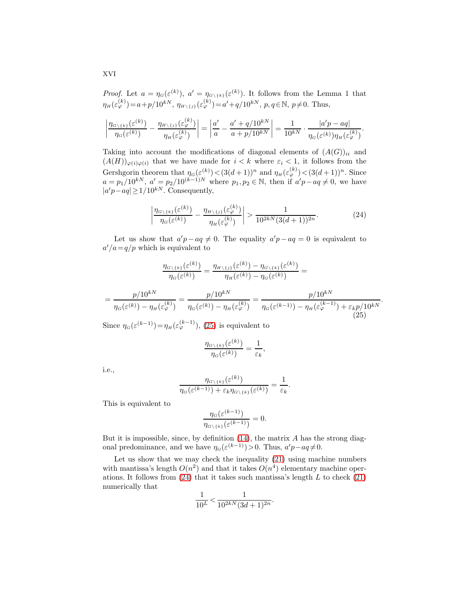*Proof.* Let  $a = \eta_G(\varepsilon^{(k)})$ ,  $a' = \eta_{G\setminus\{k\}}(\varepsilon^{(k)})$ . It follows from the Lemma 1 that  $\eta_H(\varepsilon_\varphi^{(k)}) = a + p/10^{kN}, \ \eta_{H \setminus \{j\}}(\varepsilon_\varphi^{(k)}) = a' + q/10^{kN}, \ p, q \in \mathbb{N}, \ p \neq 0.$  Thus,

$$
\left|\frac{\eta_{G\backslash \{k\}}(\varepsilon^{(k)})}{\eta_G(\varepsilon^{(k)})}-\frac{\eta_{H\backslash \{j\}}(\varepsilon^{(k)}_\varphi)}{\eta_H(\varepsilon^{(k)}_\varphi)}\right|=\left|\frac{a'}{a}-\frac{a'+q/10^{kN}}{a+p/10^{kN}}\right|=\frac{1}{10^{kN}}\cdot\frac{|a'p-aq|}{\eta_G(\varepsilon^{(k)})\eta_H(\varepsilon^{(k)}_\varphi)}.
$$

Taking into account the modifications of diagonal elements of  $(A(G))_{ii}$  and  $(A(H))_{\varphi(i)\varphi(i)}$  that we have made for  $i < k$  where  $\varepsilon_i < 1$ , it follows from the Gershgorin theorem that  $\eta_G(\varepsilon^{(k)}) < (3(d+1))^n$  and  $\eta_H(\varepsilon^{(k)}_\varphi) < (3(d+1))^n$ . Since  $a = p_1/10^{kN}, a' = p_2/10^{(k-1)N}$  where  $p_1, p_2 \in \mathbb{N}$ , then if  $a'p - aq \neq 0$ , we have  $|a'p-aq| \geq 1/10^{kN}$ . Consequently,

<span id="page-15-1"></span>
$$
\left| \frac{\eta_{G\setminus\{k\}}(\varepsilon^{(k)})}{\eta_G(\varepsilon^{(k)})} - \frac{\eta_{H\setminus\{j\}}(\varepsilon^{(k)}_{\varphi})}{\eta_H(\varepsilon^{(k)}_{\varphi})} \right| > \frac{1}{10^{2k} \cdot N (3(d+1))^{2n}}.
$$
\n(24)

Let us show that  $a'p - aq \neq 0$ . The equality  $a'p - aq = 0$  is equivalent to  $a'/a = q/p$  which is equivalent to

$$
\frac{\eta_{G\backslash \{k\}}(\varepsilon^{(k)})}{\eta_G(\varepsilon^{(k)})} = \frac{\eta_{H\backslash \{j\}}(\varepsilon^{(k)}) - \eta_{G\backslash \{k\}}(\varepsilon^{(k)})}{\eta_H(\varepsilon^{(k)}) - \eta_G(\varepsilon^{(k)})} =
$$
\n
$$
= \frac{p/10^{kN}}{\eta_G(\varepsilon^{(k)}) - \eta_H(\varepsilon^{(k)}_{\varphi})} = \frac{p/10^{kN}}{\eta_G(\varepsilon^{(k)}) - \eta_H(\varepsilon^{(k)}_{\varphi})} = \frac{p/10^{kN}}{\eta_G(\varepsilon^{(k-1)}) - \eta_H(\varepsilon^{(k-1)}_{\varphi}) + \varepsilon_k p/10^{kN}}.
$$
\n(25)

<span id="page-15-0"></span>Since  $\eta_G(\varepsilon^{(k-1)}) = \eta_H(\varepsilon^{(k-1)}_\varphi)$ , [\(25\)](#page-15-0) is equivalent to

$$
\frac{\eta_{G\setminus\{k\}}(\varepsilon^{(k)})}{\eta_G(\varepsilon^{(k)})} = \frac{1}{\varepsilon_k}
$$

,

i.e.,

$$
\frac{\eta_{G\backslash\{k\}}(\varepsilon^{(k)})}{\eta_G(\varepsilon^{(k-1)})+\varepsilon_k\eta_{G\backslash\{k\}}(\varepsilon^{(k)})}=\frac{1}{\varepsilon_k}.
$$

This is equivalent to

$$
\frac{\eta_G(\varepsilon^{(k-1)})}{\eta_{G\setminus\{k\}}(\varepsilon^{(k-1)})}=0.
$$

But it is impossible, since, by definition  $(14)$ , the matrix A has the strong diagonal predominance, and we have  $\eta_G(\varepsilon^{(k-1)}) > 0$ . Thus,  $a'p - aq \neq 0$ .

Let us show that we may check the inequality [\(21\)](#page-13-0) using machine numbers with mantissa's length  $O(n^2)$  and that it takes  $O(n^4)$  elementary machine operations. It follows from  $(24)$  that it takes such mantissa's length L to check  $(21)$ numerically that

$$
\frac{1}{10^L} < \frac{1}{10^{2k} \left( 3d + 1 \right)^{2n}}.
$$

XVI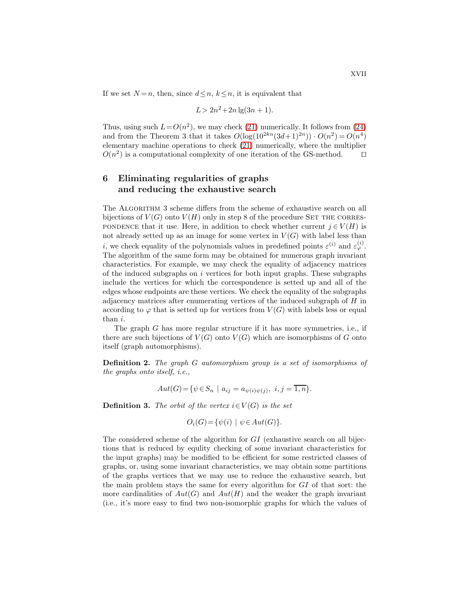If we set  $N = n$ , then, since  $d \leq n$ ,  $k \leq n$ , it is equivalent that

$$
L > 2n^2 + 2n \lg(3n + 1).
$$

Thus, using such  $L = O(n^2)$ , we may check [\(21\)](#page-13-0) numerically. It follows from [\(24\)](#page-15-1) and from the Theorem 3 that it takes  $O(\log(10^{2kn}(3d+1)^{2n})) \cdot O(n^2) = O(n^4)$ elementary machine operations to check [\(21\)](#page-13-0) numerically, where the multiplier  $O(n^2)$  is a computational complexity of one iteration of the GS-method. □

## 6 Eliminating regularities of graphs and reducing the exhaustive search

The ALGORITHM 3 scheme differs from the scheme of exhaustive search on all bijections of  $V(G)$  onto  $V(H)$  only in step 8 of the procedure SET THE CORRES-PONDENCE that it use. Here, in addition to check whether current  $j \in V(H)$  is not already setted up as an image for some vertex in  $V(G)$  with label less than *i*, we check equality of the polynomials values in predefined points  $\varepsilon^{(i)}$  and  $\varepsilon^{(i)}_{\varphi}$ . The algorithm of the same form may be obtained for numerous graph invariant characteristics. For example, we may check the equality of adjacency matrices of the induced subgraphs on  $i$  vertices for both input graphs. These subgraphs include the vertices for which the correspondence is setted up and all of the edges whose endpoints are these vertices. We check the equality of the subgraphs adjacency matrices after enumerating vertices of the induced subgraph of H in according to  $\varphi$  that is setted up for vertices from  $V(G)$  with labels less or equal than i.

The graph  $G$  has more regular structure if it has more symmetries, i.e., if there are such bijections of  $V(G)$  onto  $V(G)$  which are isomorphisms of G onto itself (graph automorphisms).

Definition 2. The graph G automorphism group is a set of isomorphisms of the graphs onto itself, i.e.,

$$
Aut(G) = \{ \psi \in S_n \mid a_{ij} = a_{\psi(i)\psi(j)}, \ i, j = \overline{1, n} \}.
$$

**Definition 3.** The orbit of the vertex  $i \in V(G)$  is the set

$$
O_i(G) = \{ \psi(i) \mid \psi \in Aut(G) \}.
$$

The considered scheme of the algorithm for GI (exhaustive search on all bijections that is reduced by equlity checking of some invariant characteristics for the input graphs) may be modified to be efficient for some restricted classes of graphs, or, using some invariant characteristics, we may obtain some partitions of the graphs vertices that we may use to reduce the exhaustive search, but the main problem stays the same for every algorithm for GI of that sort: the more cardinalities of  $Aut(G)$  and  $Aut(H)$  and the weaker the graph invariant (i.e., it's more easy to find two non-isomorphic graphs for which the values of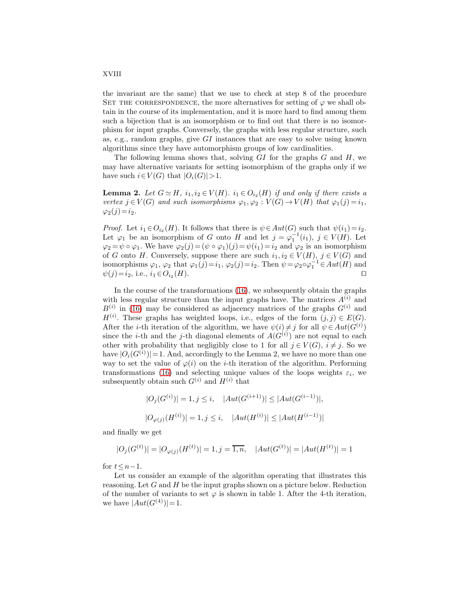the invariant are the same) that we use to check at step 8 of the procedure SET THE CORRESPONDENCE, the more alternatives for setting of  $\varphi$  we shall obtain in the course of its implementation, and it is more hard to find among them such a bijection that is an isomorphism or to find out that there is no isomorphism for input graphs. Conversely, the graphs with less regular structure, such as, e.g., random graphs, give GI instances that are easy to solve using known algorithms since they have automorphism groups of low cardinalities.

The following lemma shows that, solving  $GI$  for the graphs  $G$  and  $H$ , we may have alternative variants for setting isomorphism of the graphs only if we have such  $i \in V(G)$  that  $|O_i(G)| > 1$ .

**Lemma 2.** Let  $G \simeq H$ ,  $i_1, i_2 \in V(H)$ .  $i_1 \in O_{i_2}(H)$  if and only if there exists a vertex  $j \in V(G)$  and such isomorphisms  $\varphi_1, \varphi_2 : V(G) \to V(H)$  that  $\varphi_1(j) = i_1$ ,  $\varphi_2(j)=i_2.$ 

*Proof.* Let  $i_1 \in O_{i_2}(H)$ . It follows that there is  $\psi \in Aut(G)$  such that  $\psi(i_1) = i_2$ . Let  $\varphi_1$  be an isomorphism of G onto H and let  $j = \varphi_1^{-1}(i_1)$ ,  $j \in V(H)$ . Let  $\varphi_2 = \psi \circ \varphi_1$ . We have  $\varphi_2(j) = (\psi \circ \varphi_1)(j) = \psi(i_1) = i_2$  and  $\varphi_2$  is an isomorphism of G onto H. Conversely, suppose there are such  $i_1, i_2 \in V(H)$ ,  $j \in V(G)$  and isomorphisms  $\varphi_1$ ,  $\varphi_2$  that  $\varphi_1(j) = i_1$ ,  $\varphi_2(j) = i_2$ . Then  $\psi = \varphi_2 \circ \varphi_1^{-1} \in Aut(H)$  and  $\psi(j)=i_2$ , i.e.,  $i_1 \in O_{i_2}(H)$ .  $(H)$ . □

In the course of the transformations [\(16\)](#page-10-0), we subsequently obtain the graphs with less regular structure than the input graphs have. The matrices  $A^{(i)}$  and  $B^{(i)}$  in [\(16\)](#page-10-0) may be considered as adjacency matrices of the graphs  $G^{(i)}$  and  $H^{(i)}$ . These graphs has weighted loops, i.e., edges of the form  $(j, j) \in E(G)$ . After the *i*-th iteration of the algorithm, we have  $\psi(i) \neq j$  for all  $\psi \in Aut(G^{(i)})$ since the *i*-th and the *j*-th diagonal elements of  $A(G<sup>(i)</sup>)$  are not equal to each other with probability that negligibly close to 1 for all  $j \in V(G)$ ,  $i \neq j$ . So we have  $|O_i(G^{(i)})|=1$ . And, accordingly to the Lemma 2, we have no more than one way to set the value of  $\varphi(i)$  on the *i*-th iteration of the algorithm. Performing transformations [\(16\)](#page-10-0) and selecting unique values of the loops weights  $\varepsilon_i$ , we subsequently obtain such  $G^{(i)}$  and  $H^{(i)}$  that

$$
|O_j(G^{(i)})| = 1, j \le i, \quad |Aut(G^{(i+1)})| \le |Aut(G^{(i-1)})|,
$$
  

$$
|O_{\varphi(j)}(H^{(i)})| = 1, j \le i, \quad |Aut(H^{(i)})| \le |Aut(H^{(i-1)})|
$$

and finally we get

$$
|O_j(G^{(t)})| = |O_{\varphi(j)}(H^{(t)})| = 1, j = \overline{1, n}, \quad |Aut(G^{(t)})| = |Aut(H^{(t)})| = 1
$$

for  $t \leq n-1$ .

Let us consider an example of the algorithm operating that illustrates this reasoning. Let  $G$  and  $H$  be the input graphs shown on a picture below. Reduction of the number of variants to set  $\varphi$  is shown in table 1. After the 4-th iteration, we have  $|Aut(G^{(4)})|=1$ .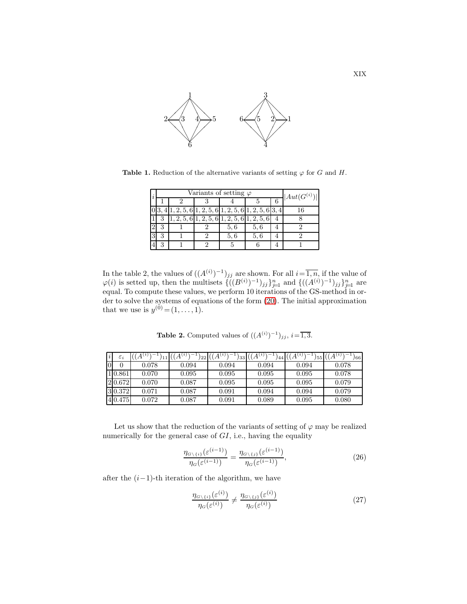

Table 1. Reduction of the alternative variants of setting  $\varphi$  for G and H.

| $\overline{\imath}$ |   | Variants of setting $\varphi$ | $ Aut(G^{(i)}) $                                                           |     |                |  |
|---------------------|---|-------------------------------|----------------------------------------------------------------------------|-----|----------------|--|
|                     |   |                               |                                                                            |     | 6 <sup>6</sup> |  |
|                     |   |                               | $1, 2, 5, 6 \vert 1, 2, 5, 6 \vert 1, 2, 5, 6 \vert 1, 2, 5, 6 \vert 3, 4$ |     |                |  |
|                     |   |                               | $\overline{2,5,6 1,2,5,6 1,2,5,6 1,2,5,6}$                                 |     |                |  |
|                     | 3 |                               | 5,6                                                                        | 5,6 |                |  |
|                     | з |                               | 5.6                                                                        | 5,6 |                |  |
|                     | 3 |                               |                                                                            |     |                |  |

In the table 2, the values of  $((A^{(i)})^{-1})_{jj}$  are shown. For all  $i=\overline{1,n}$ , if the value of  $\varphi(i)$  is setted up, then the multisets  $\{((B^{(i)})^{-1})_{jj}\}_{j=1}^n$  and  $\{((A^{(i)})^{-1})_{jj}\}_{j=1}^n$  are equal. To compute these values, we perform 10 iterations of the GS-method in order to solve the systems of equations of the form [\(20\)](#page-12-0). The initial approximation that we use is  $y^{(0)} = (1, ..., 1)$ .

**Table 2.** Computed values of  $((A^{(i)})^{-1})_{jj}, i = \overline{1,3}.$ 

| $\varepsilon_i$ | $\cdot$ $A^{(i)}$ . | $A^{(i)}$<br>"22" | $\cdot$ ,<br>'33 | 44    | 155   | 66    |
|-----------------|---------------------|-------------------|------------------|-------|-------|-------|
| 0               | 0.078               | 0.094             | 0.094            | 0.094 | 0.094 | 0.078 |
| 10.861          | 0.070               | 0.095             | 0.095            | 0.095 | 0.095 | 0.078 |
| 2 0.672         | 0.070               | 0.087             | 0.095            | 0.095 | 0.095 | 0.079 |
| 30.372          | 0.071               | 0.087             | 0.091            | 0.094 | 0.094 | 0.079 |
| 4 0.475         | 0.072               | 0.087             | 0.091            | 0.089 | 0.095 | 0.080 |

Let us show that the reduction of the variants of setting of  $\varphi$  may be realized numerically for the general case of  $GI$ , i.e., having the equality

<span id="page-18-1"></span>
$$
\frac{\eta_{G\setminus\{i\}}(\varepsilon^{(i-1)})}{\eta_G(\varepsilon^{(i-1)})} = \frac{\eta_{G\setminus\{j\}}(\varepsilon^{(i-1)})}{\eta_G(\varepsilon^{(i-1)})},\tag{26}
$$

after the  $(i-1)$ -th iteration of the algorithm, we have

<span id="page-18-0"></span>
$$
\frac{\eta_{G\setminus\{i\}}(\varepsilon^{(i)})}{\eta_G(\varepsilon^{(i)})} \neq \frac{\eta_{G\setminus\{j\}}(\varepsilon^{(i)})}{\eta_G(\varepsilon^{(i)})} \tag{27}
$$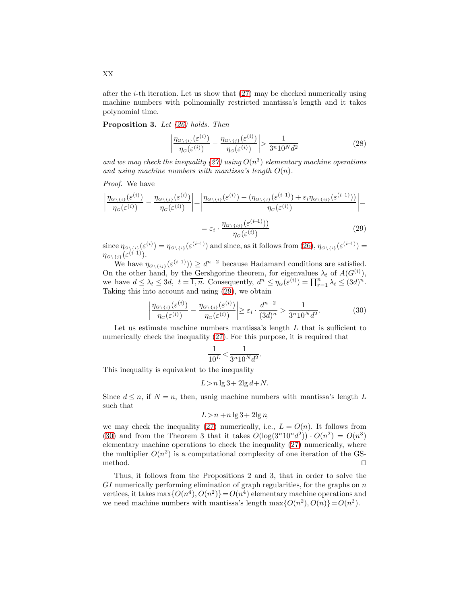after the *i*-th iteration. Let us show that  $(27)$  may be checked numerically using machine numbers with polinomially restricted mantissa's length and it takes polynomial time.

Proposition 3. Let [\(26\)](#page-18-1) holds. Then

$$
\left| \frac{\eta_{G \setminus \{i\}}(\varepsilon^{(i)})}{\eta_G(\varepsilon^{(i)})} - \frac{\eta_{G \setminus \{j\}}(\varepsilon^{(i)})}{\eta_G(\varepsilon^{(i)})} \right| > \frac{1}{3^n 10^N d^2} \tag{28}
$$

and we may check the inequality [\(27\)](#page-18-0) using  $O(n^3)$  elementary machine operations and using machine numbers with mantissa's length  $O(n)$ .

Proof. We have

$$
\left| \frac{\eta_{G \setminus \{i\}}(\varepsilon^{(i)})}{\eta_G(\varepsilon^{(i)})} - \frac{\eta_{G \setminus \{j\}}(\varepsilon^{(i)})}{\eta_G(\varepsilon^{(i)})} \right| = \left| \frac{\eta_{G \setminus \{i\}}(\varepsilon^{(i)}) - (\eta_{G \setminus \{j\}}(\varepsilon^{(i-1)}) + \varepsilon_i \eta_{G \setminus \{i\}}(\varepsilon^{(i-1)}))}{\eta_G(\varepsilon^{(i)})} \right| = \n= \varepsilon_i \cdot \frac{\eta_{G \setminus \{i\}}(\varepsilon^{(i-1)})}{\eta_G(\varepsilon^{(i)})} \tag{29}
$$

since  $\eta_{G\setminus\{i\}}(\varepsilon^{(i)}) = \eta_{G\setminus\{i\}}(\varepsilon^{(i-1)})$  and since, as it follows from  $(26)$ ,  $\eta_{G\setminus\{i\}}(\varepsilon^{(i-1)}) =$  $\eta_{G\setminus \{j\}}(\varepsilon^{(i-1)}).$ 

We have  $\eta_{G\setminus\{ij\}}(\varepsilon^{(i-1)})) \geq d^{n-2}$  because Hadamard conditions are satisfied. On the other hand, by the Gershgorine theorem, for eigenvalues  $\lambda_t$  of  $A(G^{(i)})$ , we have  $d \leq \lambda_t \leq 3d$ ,  $t = \overline{1,n}$ . Consequently,  $d^n \leq \eta_G(\tilde{\varepsilon}^{(i)}) = \prod_{r=1}^n \lambda_t \leq (3d)^n$ . Taking this into account and using [\(29\)](#page-19-0), we obtain

<span id="page-19-1"></span><span id="page-19-0"></span>
$$
\left| \frac{\eta_{G \setminus \{i\}}(\varepsilon^{(i)})}{\eta_G(\varepsilon^{(i)})} - \frac{\eta_{G \setminus \{j\}}(\varepsilon^{(i)})}{\eta_G(\varepsilon^{(i)})} \right| \ge \varepsilon_i \cdot \frac{d^{n-2}}{(3d)^n} > \frac{1}{3^n 10^N d^2}.
$$
 (30)

.

Let us estimate machine numbers mantissa's length  $L$  that is sufficient to numerically check the inequality [\(27\)](#page-18-0). For this purpose, it is required that

$$
\frac{1}{10^L} < \frac{1}{3^n 10^N d^2}
$$

This inequality is equivalent to the inequality

$$
L > n \lg 3 + 2 \lg d + N.
$$

Since  $d \leq n$ , if  $N = n$ , then, usnig machine numbers with mantissa's length L such that

$$
L > n + n \lg 3 + 2 \lg n
$$

we may check the inequality [\(27\)](#page-18-0) numerically, i.e.,  $L = O(n)$ . It follows from [\(30\)](#page-19-1) and from the Theorem 3 that it takes  $O(\log(3^n 10^n d^2)) \cdot O(n^2) = O(n^3)$ elementary machine operations to check the inequality [\(27\)](#page-18-0) numerically, where the multiplier  $O(n^2)$  is a computational complexity of one iteration of the GSmethod. □

Thus, it follows from the Propositions 2 and 3, that in order to solve the  $GI$  numerically performing elimination of graph regularities, for the graphs on  $n$ vertices, it takes  $\max\{O(n^4), O(n^2)\} = O(n^4)$  elementary machine operations and we need machine numbers with mantissa's length  $\max\{O(n^2), O(n)\} = O(n^2)$ .

XX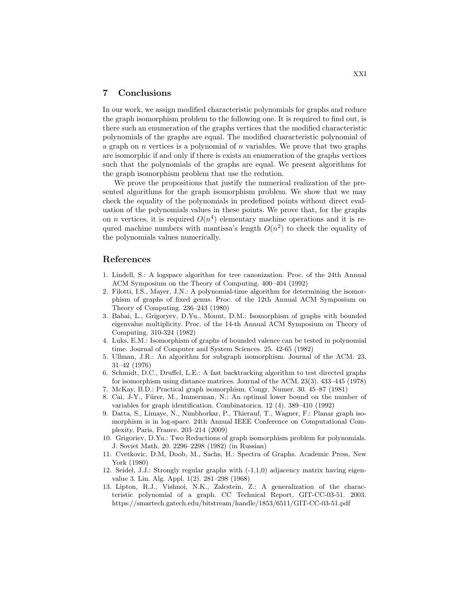#### 7 Conclusions

In our work, we assign modified characteristic polynomials for graphs and reduce the graph isomorphism problem to the following one. It is required to find out, is there such an enumeration of the graphs vertices that the modified characteristic polynomials of the graphs are equal. The modified characteristic polynomial of a graph on  $n$  vertices is a polynomial of  $n$  variables. We prove that two graphs are isomorphic if and only if there is exists an enumeration of the graphs vertices such that the polynomials of the graphs are equal. We present algorithms for the graph isomorphism problem that use the redution.

We prove the propositions that justify the numerical realization of the presented algorithms for the graph isomorphism problem. We show that we may check the equality of the polynomials in predefined points without direct evaluation of the polynomials values in these points. We prove that, for the graphs on *n* vertices, it is required  $O(n^4)$  elementary machine operations and it is requred machine numbers with mantissa's length  $O(n^2)$  to check the equality of the polynomials values numerically.

#### <span id="page-20-0"></span>References

- 1. Lindell, S.: A logspace algorithm for tree canonization. Proc. of the 24th Annual ACM Symposium on the Theory of Computing. 400–404 (1992)
- <span id="page-20-1"></span>2. Filotti, I.S., Mayer, J.N.: A polynomial-time algorithm for determining the isomorphism of graphs of fixed genus. Proc. of the 12th Annual ACM Symposium on Theory of Computing. 236–243 (1980)
- <span id="page-20-2"></span>3. Babai, L., Grigoryev, D.Yu., Mount, D.M.: Isomorphism of graphs with bounded eigenvalue multiplicity. Proc. of the 14-th Annual ACM Symposium on Theory of Computing. 310-324 (1982)
- <span id="page-20-3"></span>4. Luks, E.M.: Isomorphism of graphs of bounded valence can be tested in polynomial time. Journal of Computer and System Sciences. 25. 42-65 (1982)
- <span id="page-20-4"></span>5. Ullman, J.R.: An algorithm for subgraph isomorphism. Journal of the ACM. 23. 31–42 (1976)
- <span id="page-20-5"></span>6. Schmidt, D.C., Druffel, L.E.: A fast backtracking algorithm to test directed graphs for isomorphism using distance matrices. Journal of the ACM. 23(3). 433–445 (1978)
- <span id="page-20-7"></span><span id="page-20-6"></span>7. McKay, B.D.: Practical graph isomorphism. Congr. Numer. 30. 45–87 (1981)
- 8. Cai, J-Y., Fürer, M., Immerman, N.: An optimal lower bound on the number of variables for graph identification. Combinatorica. 12 (4). 389–410 (1992)
- <span id="page-20-8"></span>9. Datta, S., Limaye, N., Nimbhorkar, P., Thierauf, T., Wagner, F.: Planar graph isomorphism is in log-space. 24th Annual IEEE Conference on Computational Complexity. Paris, France. 203–214 (2009)
- <span id="page-20-9"></span>10. Grigoriev, D.Yu.: Two Reductions of graph isomorphism problem for polynomials. J. Soviet Math. 20. 2296–2298 (1982) (in Russian)
- <span id="page-20-10"></span>11. Cvetkovic, D.M, Doob, M., Sachs, H.: Spectra of Graphs. Academic Press, New York (1980)
- <span id="page-20-11"></span>12. Seidel, J.J.: Strongly regular graphs with (-1,1,0) adjacency matrix having eigenvalue 3. Lin. Alg. Appl. 1(2). 281–298 (1968)
- <span id="page-20-12"></span>13. Lipton, R.J., Vishnoi, N.K., Zalcstein, Z.: A generalization of the characteristic polynomial of a graph. CC Technical Report, GIT-CC-03-51. 2003. https://smartech.gatech.edu/bitstream/handle/1853/6511/GIT-CC-03-51.pdf